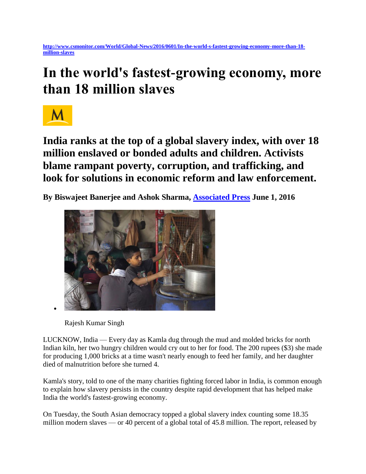## **In the world's fastest-growing economy, more than 18 million slaves**



**India ranks at the top of a global slavery index, with over 18 million enslaved or bonded adults and children. Activists blame rampant poverty, corruption, and trafficking, and look for solutions in economic reform and law enforcement.**

**By Biswajeet Banerjee and Ashok Sharma, [Associated Press](http://www.ap.org/) June 1, 2016** 



Rajesh Kumar Singh

LUCKNOW, India — Every day as Kamla dug through the mud and molded bricks for north Indian kiln, her two hungry children would cry out to her for food. The 200 rupees (\$3) she made for producing 1,000 bricks at a time wasn't nearly enough to feed her family, and her daughter died of malnutrition before she turned 4.

Kamla's story, told to one of the many charities fighting forced labor in India, is common enough to explain how slavery persists in the country despite rapid development that has helped make India the world's fastest-growing economy.

On Tuesday, the South Asian democracy topped a global slavery index counting some 18.35 million modern slaves — or 40 percent of a global total of 45.8 million. The report, released by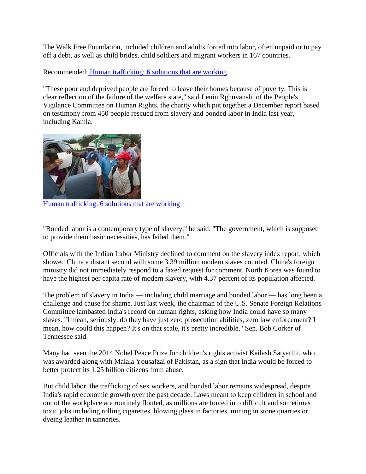The Walk Free Foundation, included children and adults forced into labor, often unpaid or to pay off a debt, as well as child brides, child soldiers and migrant workers in 167 countries.

Recommended: [Human trafficking: 6 solutions that are working](http://www.csmonitor.com/World/2016/0125/Human-trafficking-6-solutions-that-are-working/Fair-food-labeling-for-US-produce) 

"These poor and deprived people are forced to leave their homes because of poverty. This is clear reflection of the failure of the welfare state," said Lenin Rghuvanshi of the People's Vigilance Committee on Human Rights, the charity which put together a December report based on testimony from 450 people rescued from slavery and bonded labor in India last year, including Kamla.



[Human trafficking: 6 solutions that are working](http://www.csmonitor.com/World/2016/0125/Human-trafficking-6-solutions-that-are-working/Fair-food-labeling-for-US-produce) 

"Bonded labor is a contemporary type of slavery," he said. "The government, which is supposed to provide them basic necessities, has failed them."

Officials with the Indian Labor Ministry declined to comment on the slavery index report, which showed China a distant second with some 3.39 million modern slaves counted. China's foreign ministry did not immediately respond to a faxed request for comment. North Korea was found to have the highest per capita rate of modern slavery, with 4.37 percent of its population affected.

The problem of slavery in India — including child marriage and bonded labor — has long been a challenge and cause for shame. Just last week, the chairman of the U.S. Senate Foreign Relations Committee lambasted India's record on human rights, asking how India could have so many slaves. "I mean, seriously, do they have just zero prosecution abilities, zero law enforcement? I mean, how could this happen? It's on that scale, it's pretty incredible," Sen. Bob Corker of Tennessee said.

Many had seen the 2014 Nobel Peace Prize for children's rights activist Kailash Satyarthi, who was awarded along with Malala Yousafzai of Pakistan, as a sign that India would be forced to better protect its 1.25 billion citizens from abuse.

But child labor, the trafficking of sex workers, and bonded labor remains widespread, despite India's rapid economic growth over the past decade. Laws meant to keep children in school and out of the workplace are routinely flouted, as millions are forced into difficult and sometimes toxic jobs including rolling cigarettes, blowing glass in factories, mining in stone quarries or dyeing leather in tanneries.